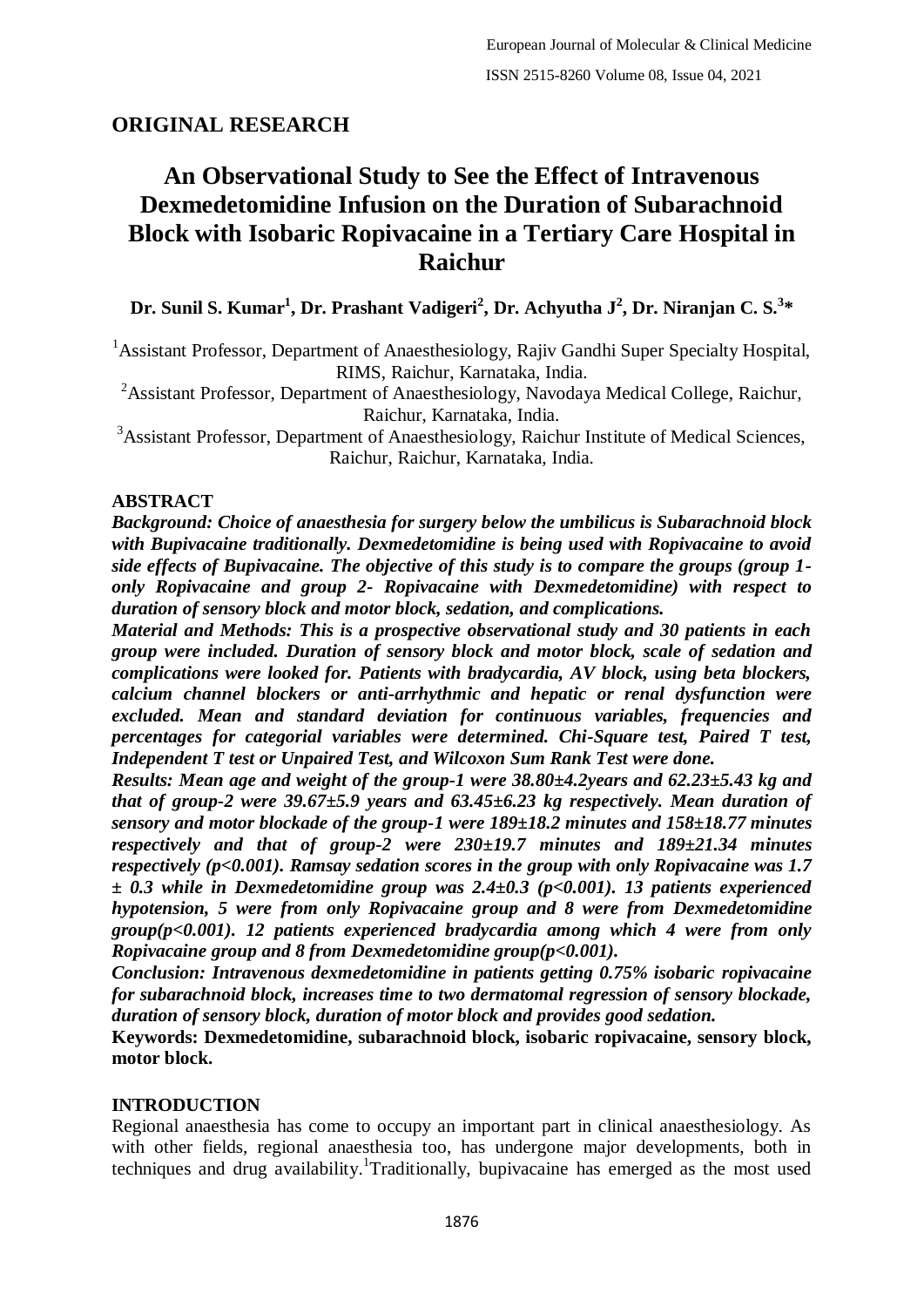## **ORIGINAL RESEARCH**

# **An Observational Study to See the Effect of Intravenous Dexmedetomidine Infusion on the Duration of Subarachnoid Block with Isobaric Ropivacaine in a Tertiary Care Hospital in Raichur**

**Dr. Sunil S. Kumar<sup>1</sup> , Dr. Prashant Vadigeri<sup>2</sup> , Dr. Achyutha J<sup>2</sup> , Dr. Niranjan C. S.<sup>3</sup> \***

<sup>1</sup> Assistant Professor, Department of Anaesthesiology, Rajiv Gandhi Super Specialty Hospital, RIMS, Raichur, Karnataka, India.

<sup>2</sup>Assistant Professor, Department of Anaesthesiology, Navodaya Medical College, Raichur, Raichur, Karnataka, India.

<sup>3</sup>Assistant Professor, Department of Anaesthesiology, Raichur Institute of Medical Sciences, Raichur, Raichur, Karnataka, India.

### **ABSTRACT**

*Background: Choice of anaesthesia for surgery below the umbilicus is Subarachnoid block with Bupivacaine traditionally. Dexmedetomidine is being used with Ropivacaine to avoid side effects of Bupivacaine. The objective of this study is to compare the groups (group 1 only Ropivacaine and group 2- Ropivacaine with Dexmedetomidine) with respect to duration of sensory block and motor block, sedation, and complications.*

*Material and Methods: This is a prospective observational study and 30 patients in each group were included. Duration of sensory block and motor block, scale of sedation and complications were looked for. Patients with bradycardia, AV block, using beta blockers, calcium channel blockers or anti-arrhythmic and hepatic or renal dysfunction were excluded. Mean and standard deviation for continuous variables, frequencies and percentages for categorial variables were determined. Chi-Square test, Paired T test, Independent T test or Unpaired Test, and Wilcoxon Sum Rank Test were done.* 

*Results: Mean age and weight of the group-1 were 38.80±4.2years and 62.23±5.43 kg and that of group-2 were 39.67±5.9 years and 63.45±6.23 kg respectively. Mean duration of sensory and motor blockade of the group-1 were 189±18.2 minutes and 158±18.77 minutes respectively and that of group-2 were 230±19.7 minutes and 189±21.34 minutes respectively (p<0.001). Ramsay sedation scores in the group with only Ropivacaine was 1.7 ± 0.3 while in Dexmedetomidine group was 2.4±0.3 (p<0.001). 13 patients experienced hypotension, 5 were from only Ropivacaine group and 8 were from Dexmedetomidine group(p<0.001). 12 patients experienced bradycardia among which 4 were from only Ropivacaine group and 8 from Dexmedetomidine group(p<0.001).*

*Conclusion: Intravenous dexmedetomidine in patients getting 0.75% isobaric ropivacaine for subarachnoid block, increases time to two dermatomal regression of sensory blockade, duration of sensory block, duration of motor block and provides good sedation.*

**Keywords: Dexmedetomidine, subarachnoid block, isobaric ropivacaine, sensory block, motor block.**

### **INTRODUCTION**

Regional anaesthesia has come to occupy an important part in clinical anaesthesiology. As with other fields, regional anaesthesia too, has undergone major developments, both in techniques and drug availability. 1 Traditionally, bupivacaine has emerged as the most used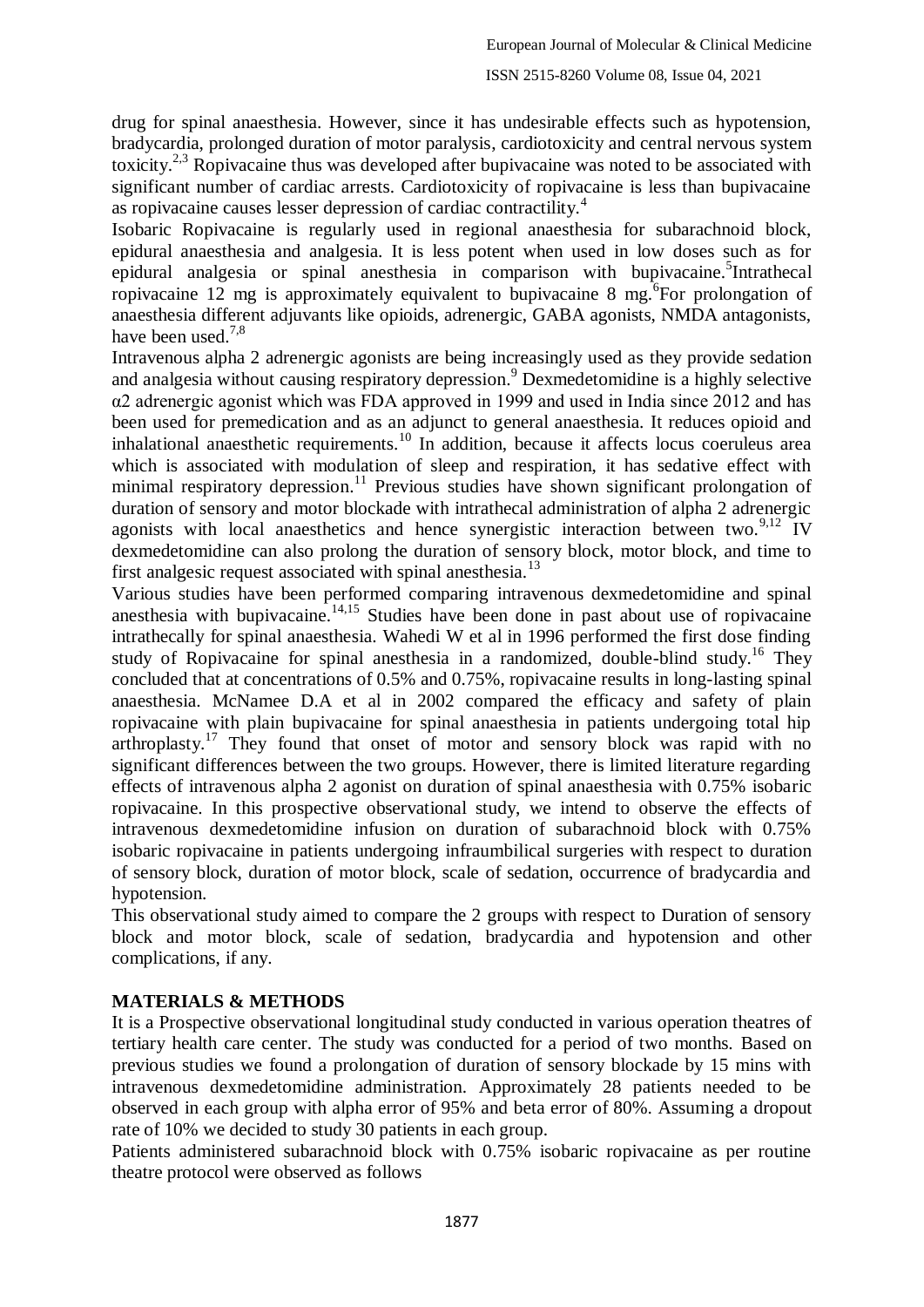drug for spinal anaesthesia. However, since it has undesirable effects such as hypotension, bradycardia, prolonged duration of motor paralysis, cardiotoxicity and central nervous system toxicity.<sup>2,3</sup> Ropivacaine thus was developed after bupivacaine was noted to be associated with significant number of cardiac arrests. Cardiotoxicity of ropivacaine is less than bupivacaine as ropivacaine causes lesser depression of cardiac contractility.<sup>4</sup>

Isobaric Ropivacaine is regularly used in regional anaesthesia for subarachnoid block, epidural anaesthesia and analgesia. It is less potent when used in low doses such as for epidural analgesia or spinal anesthesia in comparison with bupivacaine.<sup>5</sup>Intrathecal ropivacaine  $12$  mg is approximately equivalent to bupivacaine 8 mg.  $\overline{6}$  For prolongation of anaesthesia different adjuvants like opioids, adrenergic, GABA agonists, NMDA antagonists, have been used.<sup>7,8</sup>

Intravenous alpha 2 adrenergic agonists are being increasingly used as they provide sedation and analgesia without causing respiratory depression. <sup>9</sup> Dexmedetomidine is a highly selective α2 adrenergic agonist which was FDA approved in 1999 and used in India since 2012 and has been used for premedication and as an adjunct to general anaesthesia. It reduces opioid and inhalational anaesthetic requirements.<sup>10</sup> In addition, because it affects locus coeruleus area which is associated with modulation of sleep and respiration, it has sedative effect with minimal respiratory depression.<sup>11</sup> Previous studies have shown significant prolongation of duration of sensory and motor blockade with intrathecal administration of alpha 2 adrenergic agonists with local anaesthetics and hence synergistic interaction between two. $9,12$  IV dexmedetomidine can also prolong the duration of sensory block, motor block, and time to first analgesic request associated with spinal anesthesia.<sup>13</sup>

Various studies have been performed comparing intravenous dexmedetomidine and spinal anesthesia with bupivacaine.<sup>14,15</sup> Studies have been done in past about use of ropivacaine intrathecally for spinal anaesthesia. Wahedi W et al in 1996 performed the first dose finding study of Ropivacaine for spinal anesthesia in a randomized, double-blind study.<sup>16</sup> They concluded that at concentrations of 0.5% and 0.75%, ropivacaine results in long-lasting spinal anaesthesia. McNamee D.A et al in 2002 compared the efficacy and safety of plain ropivacaine with plain bupivacaine for spinal anaesthesia in patients undergoing total hip arthroplasty.<sup>17</sup> They found that onset of motor and sensory block was rapid with no significant differences between the two groups. However, there is limited literature regarding effects of intravenous alpha 2 agonist on duration of spinal anaesthesia with 0.75% isobaric ropivacaine. In this prospective observational study, we intend to observe the effects of intravenous dexmedetomidine infusion on duration of subarachnoid block with 0.75% isobaric ropivacaine in patients undergoing infraumbilical surgeries with respect to duration of sensory block, duration of motor block, scale of sedation, occurrence of bradycardia and hypotension.

This observational study aimed to compare the 2 groups with respect to Duration of sensory block and motor block, scale of sedation, bradycardia and hypotension and other complications, if any.

### **MATERIALS & METHODS**

It is a Prospective observational longitudinal study conducted in various operation theatres of tertiary health care center. The study was conducted for a period of two months. Based on previous studies we found a prolongation of duration of sensory blockade by 15 mins with intravenous dexmedetomidine administration. Approximately 28 patients needed to be observed in each group with alpha error of 95% and beta error of 80%. Assuming a dropout rate of 10% we decided to study 30 patients in each group.

Patients administered subarachnoid block with 0.75% isobaric ropivacaine as per routine theatre protocol were observed as follows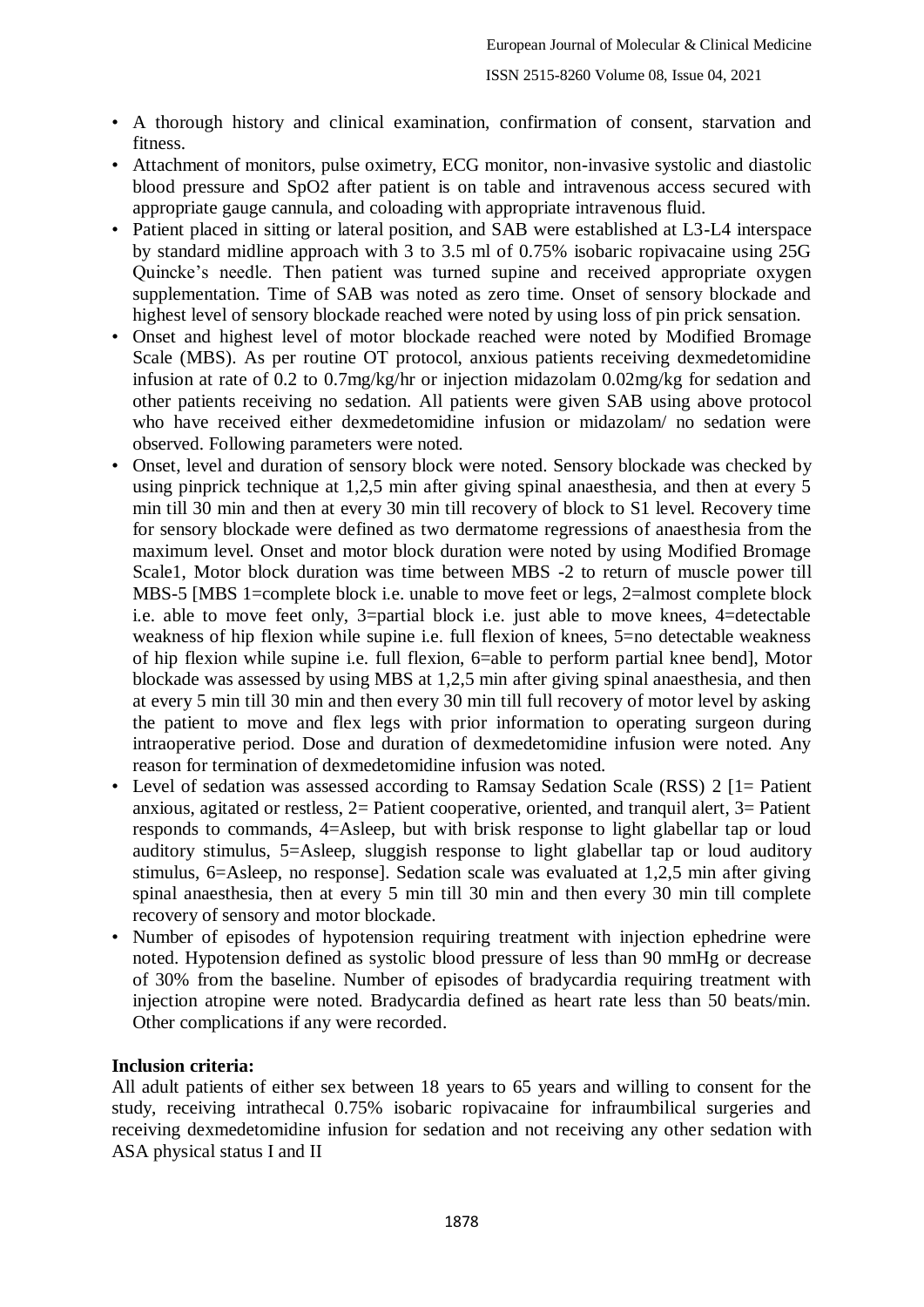- A thorough history and clinical examination, confirmation of consent, starvation and fitness.
- Attachment of monitors, pulse oximetry, ECG monitor, non-invasive systolic and diastolic blood pressure and SpO2 after patient is on table and intravenous access secured with appropriate gauge cannula, and coloading with appropriate intravenous fluid.
- Patient placed in sitting or lateral position, and SAB were established at L3-L4 interspace by standard midline approach with 3 to 3.5 ml of 0.75% isobaric ropivacaine using 25G Quincke's needle. Then patient was turned supine and received appropriate oxygen supplementation. Time of SAB was noted as zero time. Onset of sensory blockade and highest level of sensory blockade reached were noted by using loss of pin prick sensation.
- Onset and highest level of motor blockade reached were noted by Modified Bromage Scale (MBS). As per routine OT protocol, anxious patients receiving dexmedetomidine infusion at rate of 0.2 to 0.7mg/kg/hr or injection midazolam 0.02mg/kg for sedation and other patients receiving no sedation. All patients were given SAB using above protocol who have received either dexmedetomidine infusion or midazolam/ no sedation were observed. Following parameters were noted.
- Onset, level and duration of sensory block were noted. Sensory blockade was checked by using pinprick technique at 1,2,5 min after giving spinal anaesthesia, and then at every 5 min till 30 min and then at every 30 min till recovery of block to S1 level. Recovery time for sensory blockade were defined as two dermatome regressions of anaesthesia from the maximum level. Onset and motor block duration were noted by using Modified Bromage Scale1, Motor block duration was time between MBS -2 to return of muscle power till MBS-5 [MBS 1=complete block i.e. unable to move feet or legs, 2=almost complete block i.e. able to move feet only, 3=partial block i.e. just able to move knees, 4=detectable weakness of hip flexion while supine i.e. full flexion of knees, 5=no detectable weakness of hip flexion while supine i.e. full flexion, 6=able to perform partial knee bend], Motor blockade was assessed by using MBS at 1,2,5 min after giving spinal anaesthesia, and then at every 5 min till 30 min and then every 30 min till full recovery of motor level by asking the patient to move and flex legs with prior information to operating surgeon during intraoperative period. Dose and duration of dexmedetomidine infusion were noted. Any reason for termination of dexmedetomidine infusion was noted.
- Level of sedation was assessed according to Ramsay Sedation Scale (RSS) 2 [1= Patient anxious, agitated or restless, 2= Patient cooperative, oriented, and tranquil alert, 3= Patient responds to commands, 4=Asleep, but with brisk response to light glabellar tap or loud auditory stimulus, 5=Asleep, sluggish response to light glabellar tap or loud auditory stimulus, 6=Asleep, no response]. Sedation scale was evaluated at 1,2,5 min after giving spinal anaesthesia, then at every 5 min till 30 min and then every 30 min till complete recovery of sensory and motor blockade.
- Number of episodes of hypotension requiring treatment with injection ephedrine were noted. Hypotension defined as systolic blood pressure of less than 90 mmHg or decrease of 30% from the baseline. Number of episodes of bradycardia requiring treatment with injection atropine were noted. Bradycardia defined as heart rate less than 50 beats/min. Other complications if any were recorded.

### **Inclusion criteria:**

All adult patients of either sex between 18 years to 65 years and willing to consent for the study, receiving intrathecal 0.75% isobaric ropivacaine for infraumbilical surgeries and receiving dexmedetomidine infusion for sedation and not receiving any other sedation with ASA physical status I and II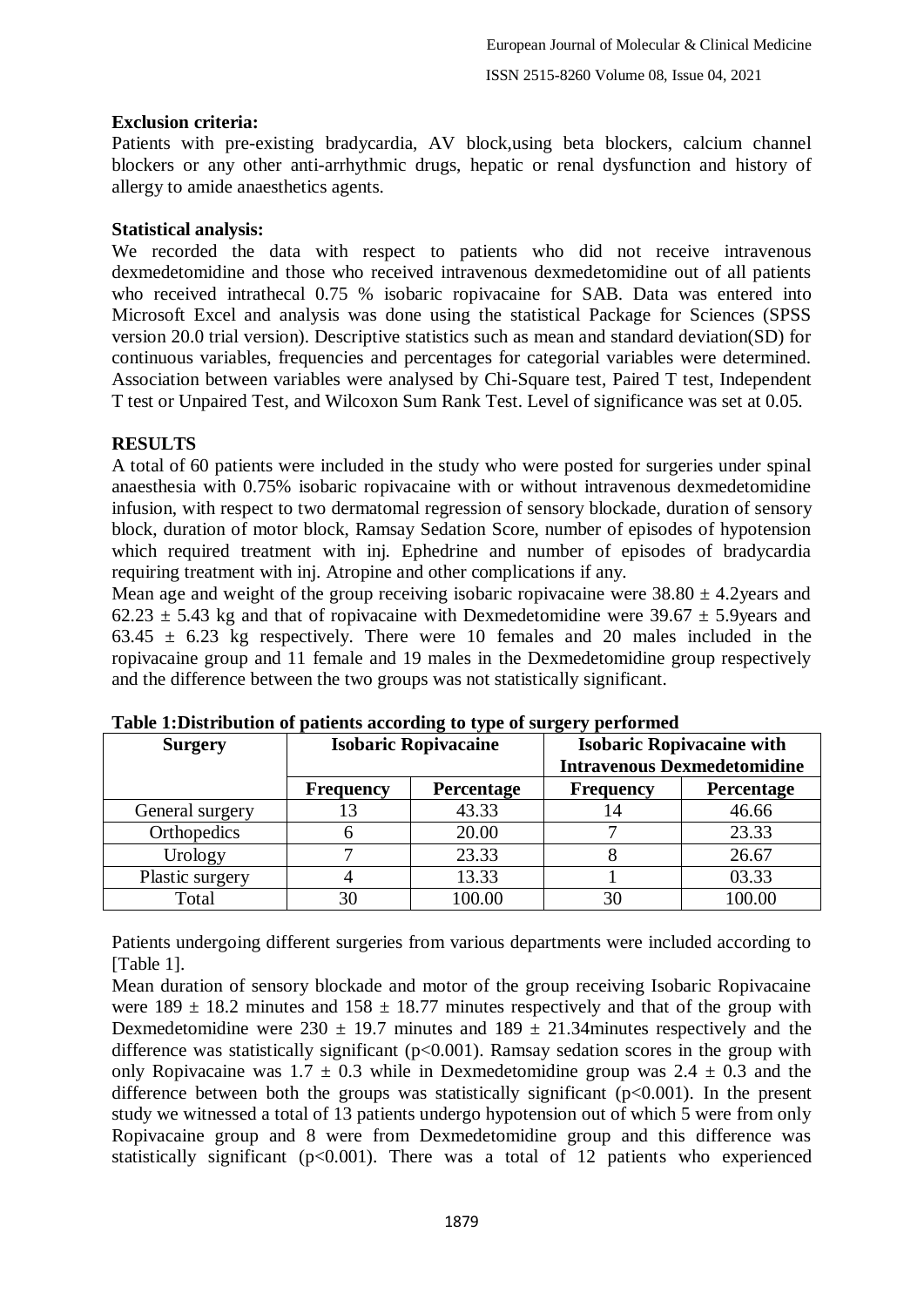## **Exclusion criteria:**

Patients with pre-existing bradycardia, AV block,using beta blockers, calcium channel blockers or any other anti-arrhythmic drugs, hepatic or renal dysfunction and history of allergy to amide anaesthetics agents.

## **Statistical analysis:**

We recorded the data with respect to patients who did not receive intravenous dexmedetomidine and those who received intravenous dexmedetomidine out of all patients who received intrathecal 0.75 % isobaric ropivacaine for SAB. Data was entered into Microsoft Excel and analysis was done using the statistical Package for Sciences (SPSS version 20.0 trial version). Descriptive statistics such as mean and standard deviation(SD) for continuous variables, frequencies and percentages for categorial variables were determined. Association between variables were analysed by Chi-Square test, Paired T test, Independent T test or Unpaired Test, and Wilcoxon Sum Rank Test. Level of significance was set at 0.05.

## **RESULTS**

A total of 60 patients were included in the study who were posted for surgeries under spinal anaesthesia with 0.75% isobaric ropivacaine with or without intravenous dexmedetomidine infusion, with respect to two dermatomal regression of sensory blockade, duration of sensory block, duration of motor block, Ramsay Sedation Score, number of episodes of hypotension which required treatment with inj. Ephedrine and number of episodes of bradycardia requiring treatment with inj. Atropine and other complications if any.

Mean age and weight of the group receiving isobaric ropivacaine were  $38.80 \pm 4.2$ years and  $62.23 \pm 5.43$  kg and that of ropivacaine with Dexmedetomidine were 39.67  $\pm$  5.9years and 63.45  $\pm$  6.23 kg respectively. There were 10 females and 20 males included in the ropivacaine group and 11 female and 19 males in the Dexmedetomidine group respectively and the difference between the two groups was not statistically significant.

| <b>Surgery</b>  | <b>Isobaric Ropivacaine</b> |                   | <b>Isobaric Ropivacaine with</b>   |                   |
|-----------------|-----------------------------|-------------------|------------------------------------|-------------------|
|                 |                             |                   | <b>Intravenous Dexmedetomidine</b> |                   |
|                 | <b>Frequency</b>            | <b>Percentage</b> | <b>Frequency</b>                   | <b>Percentage</b> |
| General surgery |                             | 43.33             | 14                                 | 46.66             |
| Orthopedics     |                             | 20.00             |                                    | 23.33             |
| Urology         |                             | 23.33             |                                    | 26.67             |
| Plastic surgery |                             | 13.33             |                                    | 03.33             |
| Total           |                             | 00.00             |                                    | 100.00            |

**Table 1:Distribution of patients according to type of surgery performed**

Patients undergoing different surgeries from various departments were included according to [Table 1].

Mean duration of sensory blockade and motor of the group receiving Isobaric Ropivacaine were  $189 \pm 18.2$  minutes and  $158 \pm 18.77$  minutes respectively and that of the group with Dexmedetomidine were  $230 \pm 19.7$  minutes and  $189 \pm 21.34$  minutes respectively and the difference was statistically significant  $(p<0.001)$ . Ramsay sedation scores in the group with only Ropivacaine was  $1.7 \pm 0.3$  while in Dexmedetomidine group was  $2.4 \pm 0.3$  and the difference between both the groups was statistically significant  $(p<0.001)$ . In the present study we witnessed a total of 13 patients undergo hypotension out of which 5 were from only Ropivacaine group and 8 were from Dexmedetomidine group and this difference was statistically significant  $(p<0.001)$ . There was a total of 12 patients who experienced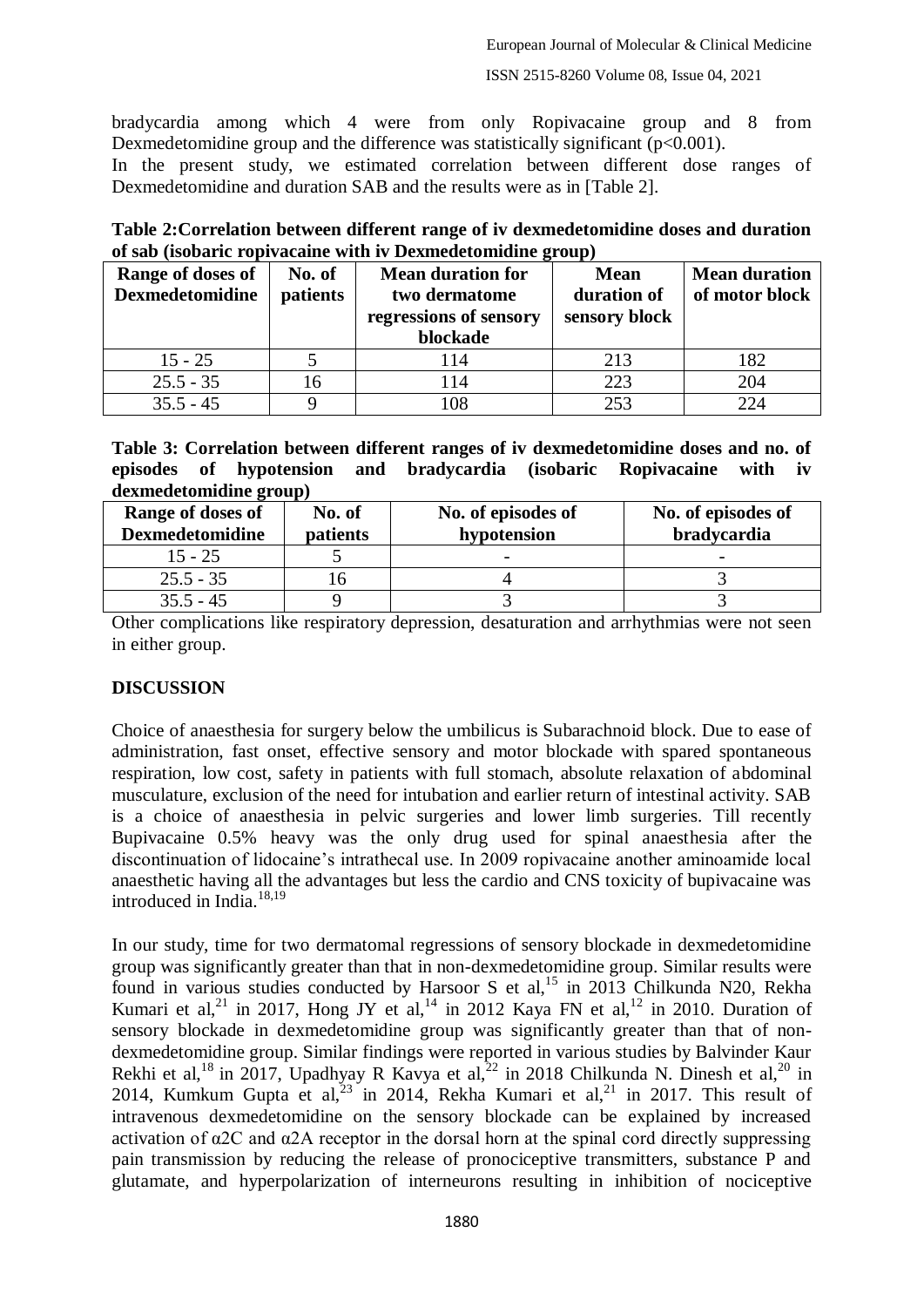bradycardia among which 4 were from only Ropivacaine group and 8 from Dexmedetomidine group and the difference was statistically significant  $(p<0.001)$ .

In the present study, we estimated correlation between different dose ranges of Dexmedetomidine and duration SAB and the results were as in [Table 2].

| Range of doses of<br><b>Dexmedetomidine</b> | No. of<br>patients | <b>Mean duration for</b><br>two dermatome<br>regressions of sensory<br>blockade | <b>Mean</b><br>duration of<br>sensory block | <b>Mean duration</b><br>of motor block |
|---------------------------------------------|--------------------|---------------------------------------------------------------------------------|---------------------------------------------|----------------------------------------|
| $15 - 25$                                   |                    | 114                                                                             | 213                                         | 182                                    |
| $25.5 - 35$                                 | 16                 | 114                                                                             | 223                                         | 204                                    |
| $35.5 - 45$                                 |                    | 108                                                                             | 253                                         | 224                                    |

**Table 2:Correlation between different range of iv dexmedetomidine doses and duration of sab (isobaric ropivacaine with iv Dexmedetomidine group)**

**Table 3: Correlation between different ranges of iv dexmedetomidine doses and no. of episodes of hypotension and bradycardia (isobaric Ropivacaine with iv dexmedetomidine group)**

| Range of doses of<br><b>Dexmedetomidine</b> | No. of<br>patients | No. of episodes of<br>hypotension | No. of episodes of<br>bradycardia |
|---------------------------------------------|--------------------|-----------------------------------|-----------------------------------|
| 15 - 25                                     |                    |                                   | $\overline{\phantom{0}}$          |
| $25.5 - 35$                                 | l n                |                                   |                                   |
| $35.5 - 45$                                 |                    |                                   |                                   |

Other complications like respiratory depression, desaturation and arrhythmias were not seen in either group.

### **DISCUSSION**

Choice of anaesthesia for surgery below the umbilicus is Subarachnoid block. Due to ease of administration, fast onset, effective sensory and motor blockade with spared spontaneous respiration, low cost, safety in patients with full stomach, absolute relaxation of abdominal musculature, exclusion of the need for intubation and earlier return of intestinal activity. SAB is a choice of anaesthesia in pelvic surgeries and lower limb surgeries. Till recently Bupivacaine 0.5% heavy was the only drug used for spinal anaesthesia after the discontinuation of lidocaine's intrathecal use. In 2009 ropivacaine another aminoamide local anaesthetic having all the advantages but less the cardio and CNS toxicity of bupivacaine was introduced in India. 18,19

In our study, time for two dermatomal regressions of sensory blockade in dexmedetomidine group was significantly greater than that in non-dexmedetomidine group. Similar results were found in various studies conducted by Harsoor S et al,<sup>15</sup> in 2013 Chilkunda N20, Rekha Kumari et al,<sup>21</sup> in 2017, Hong JY et al,<sup>14</sup> in 2012 Kaya FN et al,<sup>12</sup> in 2010. Duration of sensory blockade in dexmedetomidine group was significantly greater than that of nondexmedetomidine group. Similar findings were reported in various studies by Balvinder Kaur Rekhi et al,<sup>18</sup> in 2017, Upadhyay R Kavya et al,<sup>22</sup> in 2018 Chilkunda N. Dinesh et al,<sup>20</sup> in 2014, Kumkum Gupta et al,  $2^{3}$  in 2014, Rekha Kumari et al,  $2^{1}$  in 2017. This result of intravenous dexmedetomidine on the sensory blockade can be explained by increased activation of  $\alpha$ 2C and  $\alpha$ 2A receptor in the dorsal horn at the spinal cord directly suppressing pain transmission by reducing the release of pronociceptive transmitters, substance P and glutamate, and hyperpolarization of interneurons resulting in inhibition of nociceptive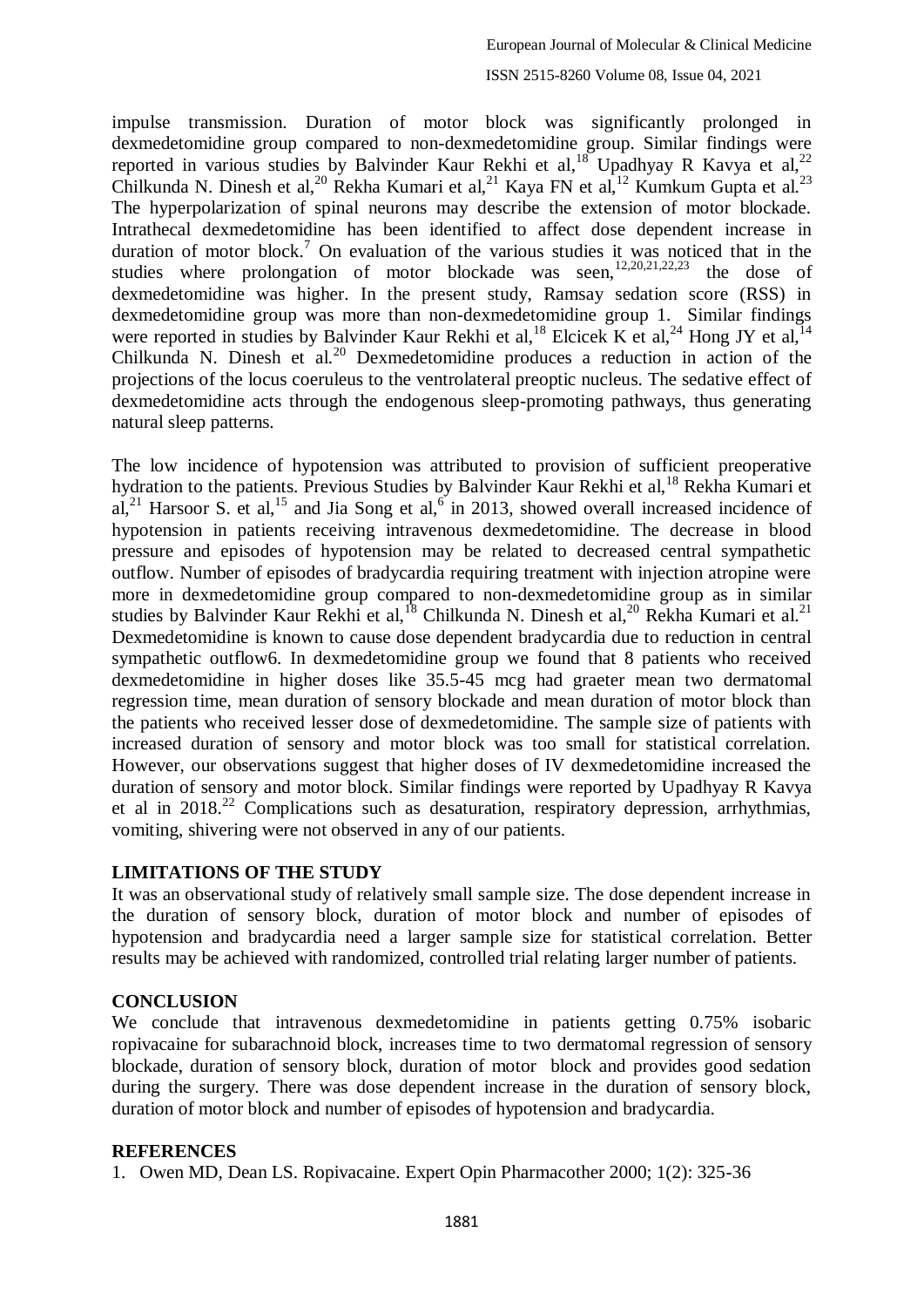#### ISSN 2515-8260 Volume 08, Issue 04, 2021

impulse transmission. Duration of motor block was significantly prolonged in dexmedetomidine group compared to non-dexmedetomidine group. Similar findings were reported in various studies by Balvinder Kaur Rekhi et al,<sup>18</sup> Upadhyay R Kavya et al,<sup>22</sup> Chilkunda N. Dinesh et al,<sup>20</sup> Rekha Kumari et al,<sup>21</sup> Kaya FN et al,<sup>12</sup> Kumkum Gupta et al.<sup>23</sup> The hyperpolarization of spinal neurons may describe the extension of motor blockade. Intrathecal dexmedetomidine has been identified to affect dose dependent increase in duration of motor block.<sup>7</sup> On evaluation of the various studies it was noticed that in the studies where prolongation of motor blockade was seen, $12,20,21,22,23$  the dose of dexmedetomidine was higher. In the present study, Ramsay sedation score (RSS) in dexmedetomidine group was more than non-dexmedetomidine group 1. Similar findings were reported in studies by Balvinder Kaur Rekhi et al,<sup>18</sup> Elcicek K et al,<sup>24</sup> Hong JY et al,<sup>14</sup> Chilkunda N. Dinesh et al.<sup>20</sup> Dexmedetomidine produces a reduction in action of the projections of the locus coeruleus to the ventrolateral preoptic nucleus. The sedative effect of dexmedetomidine acts through the endogenous sleep-promoting pathways, thus generating natural sleep patterns.

The low incidence of hypotension was attributed to provision of sufficient preoperative hydration to the patients. Previous Studies by Balvinder Kaur Rekhi et al,<sup>18</sup> Rekha Kumari et al,<sup>21</sup> Harsoor S. et al,<sup>15</sup> and Jia Song et al,<sup>6</sup> in 2013, showed overall increased incidence of hypotension in patients receiving intravenous dexmedetomidine. The decrease in blood pressure and episodes of hypotension may be related to decreased central sympathetic outflow. Number of episodes of bradycardia requiring treatment with injection atropine were more in dexmedetomidine group compared to non-dexmedetomidine group as in similar studies by Balvinder Kaur Rekhi et al,<sup>18</sup> Chilkunda N. Dinesh et al,<sup>20</sup> Rekha Kumari et al.<sup>21</sup> Dexmedetomidine is known to cause dose dependent bradycardia due to reduction in central sympathetic outflow6. In dexmedetomidine group we found that 8 patients who received dexmedetomidine in higher doses like 35.5-45 mcg had graeter mean two dermatomal regression time, mean duration of sensory blockade and mean duration of motor block than the patients who received lesser dose of dexmedetomidine. The sample size of patients with increased duration of sensory and motor block was too small for statistical correlation. However, our observations suggest that higher doses of IV dexmedetomidine increased the duration of sensory and motor block. Similar findings were reported by Upadhyay R Kavya et al in  $2018<sup>22</sup>$  Complications such as desaturation, respiratory depression, arrhythmias, vomiting, shivering were not observed in any of our patients.

#### **LIMITATIONS OF THE STUDY**

It was an observational study of relatively small sample size. The dose dependent increase in the duration of sensory block, duration of motor block and number of episodes of hypotension and bradycardia need a larger sample size for statistical correlation. Better results may be achieved with randomized, controlled trial relating larger number of patients.

### **CONCLUSION**

We conclude that intravenous dexmedetomidine in patients getting 0.75% isobaric ropivacaine for subarachnoid block, increases time to two dermatomal regression of sensory blockade, duration of sensory block, duration of motor block and provides good sedation during the surgery. There was dose dependent increase in the duration of sensory block, duration of motor block and number of episodes of hypotension and bradycardia.

#### **REFERENCES**

1. Owen MD, Dean LS. Ropivacaine. Expert Opin Pharmacother 2000; 1(2): 325-36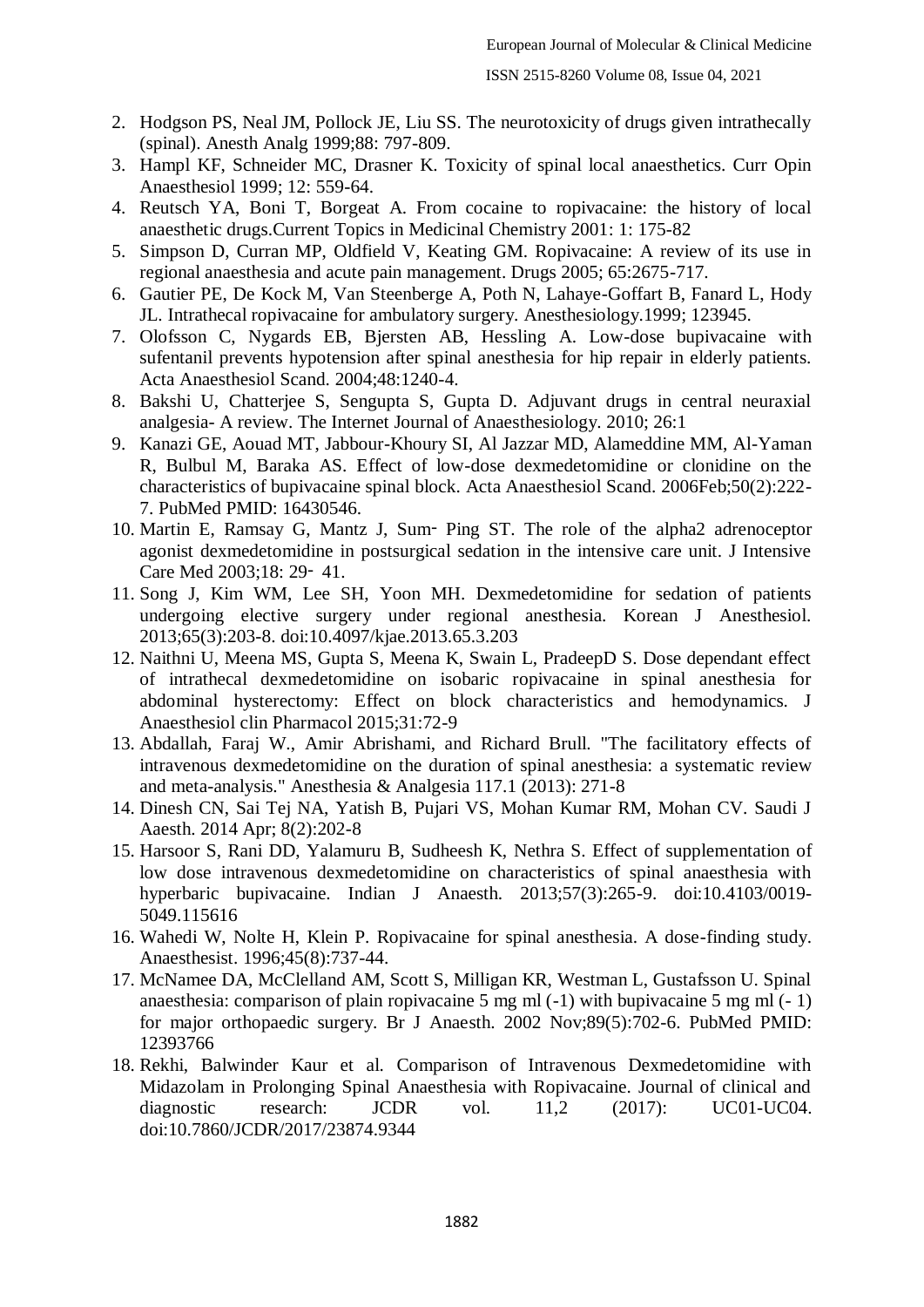- 2. Hodgson PS, Neal JM, Pollock JE, Liu SS. The neurotoxicity of drugs given intrathecally (spinal). Anesth Analg 1999;88: 797-809.
- 3. Hampl KF, Schneider MC, Drasner K. Toxicity of spinal local anaesthetics. Curr Opin Anaesthesiol 1999; 12: 559-64.
- 4. Reutsch YA, Boni T, Borgeat A. From cocaine to ropivacaine: the history of local anaesthetic drugs.Current Topics in Medicinal Chemistry 2001: 1: 175-82
- 5. Simpson D, Curran MP, Oldfield V, Keating GM. Ropivacaine: A review of its use in regional anaesthesia and acute pain management. Drugs 2005; 65:2675-717.
- 6. Gautier PE, De Kock M, Van Steenberge A, Poth N, Lahaye-Goffart B, Fanard L, Hody JL. Intrathecal ropivacaine for ambulatory surgery. Anesthesiology.1999; 123945.
- 7. Olofsson C, Nygards EB, Bjersten AB, Hessling A. Low-dose bupivacaine with sufentanil prevents hypotension after spinal anesthesia for hip repair in elderly patients. Acta Anaesthesiol Scand. 2004;48:1240-4.
- 8. Bakshi U, Chatterjee S, Sengupta S, Gupta D. Adjuvant drugs in central neuraxial analgesia- A review. The Internet Journal of Anaesthesiology. 2010; 26:1
- 9. Kanazi GE, Aouad MT, Jabbour-Khoury SI, Al Jazzar MD, Alameddine MM, Al-Yaman R, Bulbul M, Baraka AS. Effect of low-dose dexmedetomidine or clonidine on the characteristics of bupivacaine spinal block. Acta Anaesthesiol Scand. 2006Feb;50(2):222- 7. PubMed PMID: 16430546.
- 10. Martin E, Ramsay G, Mantz J, Sum‑ Ping ST. The role of the alpha2 adrenoceptor agonist dexmedetomidine in postsurgical sedation in the intensive care unit. J Intensive Care Med 2003;18: 29‑ 41.
- 11. Song J, Kim WM, Lee SH, Yoon MH. Dexmedetomidine for sedation of patients undergoing elective surgery under regional anesthesia. Korean J Anesthesiol. 2013;65(3):203-8. doi:10.4097/kjae.2013.65.3.203
- 12. Naithni U, Meena MS, Gupta S, Meena K, Swain L, PradeepD S. Dose dependant effect of intrathecal dexmedetomidine on isobaric ropivacaine in spinal anesthesia for abdominal hysterectomy: Effect on block characteristics and hemodynamics. J Anaesthesiol clin Pharmacol 2015;31:72-9
- 13. Abdallah, Faraj W., Amir Abrishami, and Richard Brull. "The facilitatory effects of intravenous dexmedetomidine on the duration of spinal anesthesia: a systematic review and meta-analysis." Anesthesia & Analgesia 117.1 (2013): 271-8
- 14. Dinesh CN, Sai Tej NA, Yatish B, Pujari VS, Mohan Kumar RM, Mohan CV. Saudi J Aaesth. 2014 Apr; 8(2):202-8
- 15. Harsoor S, Rani DD, Yalamuru B, Sudheesh K, Nethra S. Effect of supplementation of low dose intravenous dexmedetomidine on characteristics of spinal anaesthesia with hyperbaric bupivacaine. Indian J Anaesth. 2013;57(3):265-9. doi:10.4103/0019- 5049.115616
- 16. Wahedi W, Nolte H, Klein P. Ropivacaine for spinal anesthesia. A dose-finding study. Anaesthesist. 1996;45(8):737-44.
- 17. McNamee DA, McClelland AM, Scott S, Milligan KR, Westman L, Gustafsson U. Spinal anaesthesia: comparison of plain ropivacaine 5 mg ml (-1) with bupivacaine 5 mg ml (- 1) for major orthopaedic surgery. Br J Anaesth. 2002 Nov;89(5):702-6. PubMed PMID: 12393766
- 18. Rekhi, Balwinder Kaur et al. Comparison of Intravenous Dexmedetomidine with Midazolam in Prolonging Spinal Anaesthesia with Ropivacaine. Journal of clinical and diagnostic research: JCDR vol. 11,2 (2017): UC01-UC04. doi:10.7860/JCDR/2017/23874.9344